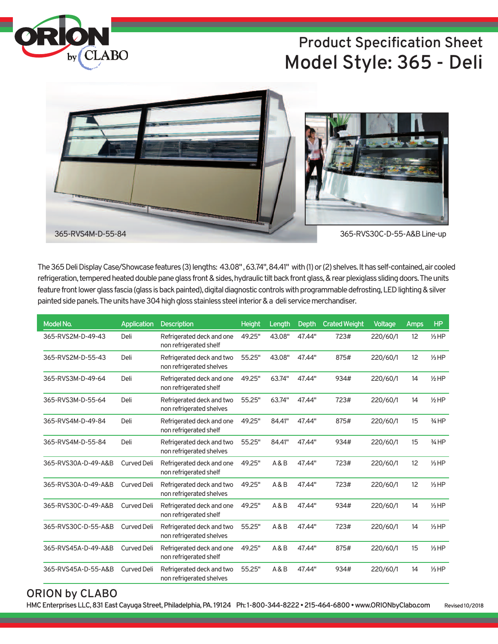

## **Product Specification Sheet Model Style: 365 - Deli**



The 365 Deli Display Case/Showcase features (3) lengths: 43.08", 63.74", 84.41" with (1) or (2) shelves. It has self-contained, air cooled refrigeration, tempered heated double pane glass front & sides, hydraulic tilt back front glass, & rear plexiglass sliding doors. The units feature front lower glass fascia (glass is back painted), digital diagnostic controls with programmable defrosting, LED lighting & silver painted side panels. The units have 304 high gloss stainless steel interior & a deli service merchandiser.

| Model No.           | <b>Application</b> | <b>Description</b>                                    | <b>Height</b> | Length | Depth  | <b>Crated Weight</b> | Voltage  | Amps | HP               |
|---------------------|--------------------|-------------------------------------------------------|---------------|--------|--------|----------------------|----------|------|------------------|
| 365-RVS2M-D-49-43   | Deli               | Refrigerated deck and one<br>non refrigerated shelf   | 49.25"        | 43.08" | 47.44" | 723#                 | 220/60/1 | 12   | $1/3$ HP         |
| 365-RVS2M-D-55-43   | Deli               | Refrigerated deck and two<br>non refrigerated shelves | 55.25"        | 43.08" | 47.44" | 875#                 | 220/60/1 | 12   | $1/3$ HP         |
| 365-RVS3M-D-49-64   | Deli               | Refrigerated deck and one<br>non refrigerated shelf   | 49.25"        | 63.74" | 47.44" | 934#                 | 220/60/1 | 14   | $1/2$ HP         |
| 365-RVS3M-D-55-64   | Deli               | Refrigerated deck and two<br>non refrigerated shelves | 55.25"        | 63.74" | 47.44" | 723#                 | 220/60/1 | 14   | $1/2$ HP         |
| 365-RVS4M-D-49-84   | Deli               | Refrigerated deck and one<br>non refrigerated shelf   | 49.25"        | 84.41" | 47.44" | 875#                 | 220/60/1 | 15   | $3/4$ HP         |
| 365-RVS4M-D-55-84   | Deli               | Refrigerated deck and two<br>non refrigerated shelves | 55.25"        | 84.41" | 47.44" | 934#                 | 220/60/1 | 15   | $3/4$ HP         |
| 365-RVS30A-D-49-A&B | <b>Curved Deli</b> | Refrigerated deck and one<br>non refrigerated shelf   | 49.25"        | A & B  | 47.44" | 723#                 | 220/60/1 | 12   | $1/3$ HP         |
| 365-RVS30A-D-49-A&B | <b>Curved Deli</b> | Refrigerated deck and two<br>non refrigerated shelves | 49.25"        | A & B  | 47.44" | 723#                 | 220/60/1 | 12   | $1/3$ HP         |
| 365-RVS30C-D-49-A&B | <b>Curved Deli</b> | Refrigerated deck and one<br>non refrigerated shelf   | 49.25"        | A & B  | 47.44" | 934#                 | 220/60/1 | 14   | $1/3$ HP         |
| 365-RVS30C-D-55-A&B | <b>Curved Deli</b> | Refrigerated deck and two<br>non refrigerated shelves | 55.25"        | A & B  | 47.44" | 723#                 | 220/60/1 | 14   | $1/3$ HP         |
| 365-RVS45A-D-49-A&B | <b>Curved Deli</b> | Refrigerated deck and one<br>non refrigerated shelf   | 49.25"        | A & B  | 47.44" | 875#                 | 220/60/1 | 15   | $\frac{1}{3}$ HP |
| 365-RVS45A-D-55-A&B | <b>Curved Deli</b> | Refrigerated deck and two<br>non refrigerated shelves | 55.25"        | A & B  | 47.44" | 934#                 | 220/60/1 | 14   | $1/3$ HP         |

### **ORION by CLABO**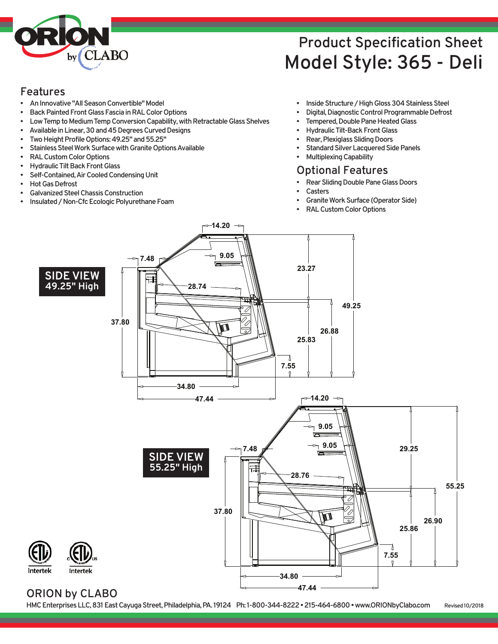

## **Product Specification Sheet Model Style: 365 - Deli**

### **Features**

- **AnInnovative"AllSeasonConvertible"Model**
- **Back Painted Front Glass Fascia in RAL Color Options**
- Low Temp to Medium Temp Conversion Capability, with Retractable Glass Shelves
- Available in Linear, 30 and 45 Degrees Curved Designs
- Two Height Profile Options: 49.25" and 55.25"
- Stainless Steel Work Surface with Granite Options Available
- **RALCustomColorOptions**
- **Hydraulic Tilt Back Front Glass**
- **Self-Contained,AirCooledCondensingUnit**
- **Hot Gas Defrost**
- **GalvanizedSteelChassisConstruction**
- **Insulated/Non-CfcEcologicPolyurethaneFoam**
- **•** Inside Structure / High Gloss 304 Stainless Steel
- **Digital, Diagnostic Control Programmable Defrost**
- **Tempered, Double Pane Heated Glass**
- **HydraulicTilt-BackFrontGlass**
- **Rear, Plexiglass Sliding Doors**
- **Standard Silver Lacquered Side Panels**
- **MultiplexingCapability**

### **Optional Features**

- **Rear Sliding Double Pane Glass Doors**
- **Casters**
- **Granite Work Surface (Operator Side)**
- **RALCustomColorOptions**



**14.20**

### **ORION by CLABO**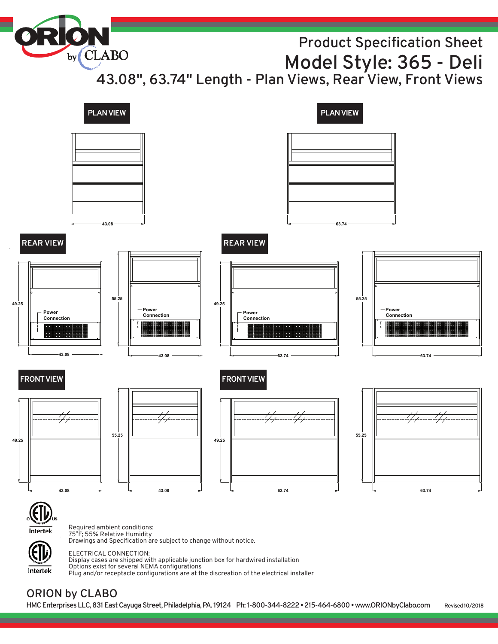# by CLABO **Product Specification Sheet Model Style: 365 - Deli 43.08" , 63.74" Length - Plan Views, Rear View, Front Views PLANVIEW PLANVIEW**

**Power Connection 43.08 49.25 Power Connection 43.08 55.25 49.25 43.08 55.25 43.08 FRONTVIEW REAR VIEW 43.08 49.25 63.74 55.25 63.74 Power Connection 63.74 49.25 Power Connection 63.74 55.25 63.74 FRONT VIEW REAR VIEW**



Required ambient conditions: 75˚F; 55% Relative Humidity Drawings and Specification are subject to change without notice.

Intertek

ELECTRICAL CONNECTION: Display cases are shipped with applicable junction box for hardwired installation Options exist for several NEMA configurations Plug and/or receptacle configurations are at the discreation of the electrical installer

### **ORION by CLABO**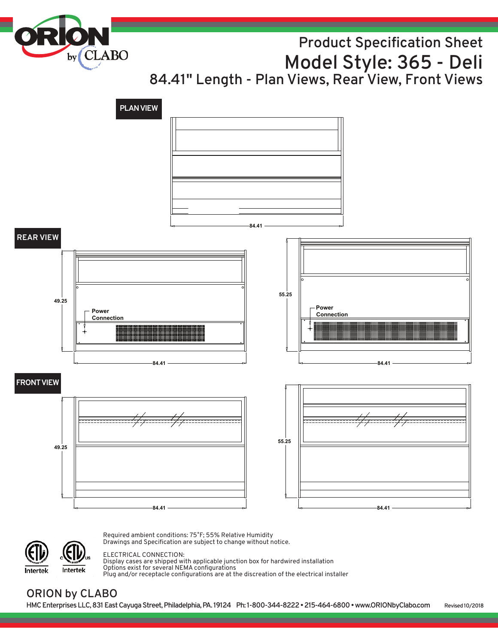by<sub>(CLABO</sub>

## **Product Specification Sheet Model Style: 365 - Deli**

**84.41" Length - Plan Views, Rear View, Front Views**



Intertek Intertek Required ambient conditions: 75˚F; 55% Relative Humidity Drawings and Specification are subject to change without notice.

#### ELECTRICAL CONNECTION:

Display cases are shipped with applicable junction box for hardwired installation Options exist for several NEMA configurations Plug and/or receptacle configurations are at the discreation of the electrical installer

### **ORION by CLABO**